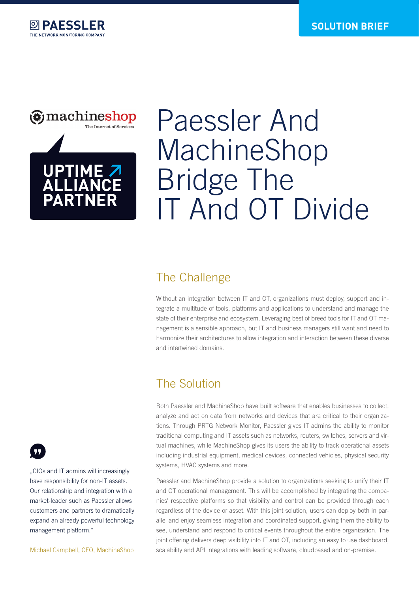



# Paessler And MachineShop Bridge The IT And OT Divide

#### The Challenge

Without an integration between IT and OT, organizations must deploy, support and integrate a multitude of tools, platforms and applications to understand and manage the state of their enterprise and ecosystem. Leveraging best of breed tools for IT and OT management is a sensible approach, but IT and business managers still want and need to harmonize their architectures to allow integration and interaction between these diverse and intertwined domains.

## The Solution

Both Paessler and MachineShop have built software that enables businesses to collect, analyze and act on data from networks and devices that are critical to their organizations. Through PRTG Network Monitor, Paessler gives IT admins the ability to monitor traditional computing and IT assets such as networks, routers, switches, servers and virtual machines, while MachineShop gives its users the ability to track operational assets including industrial equipment, medical devices, connected vehicles, physical security systems, HVAC systems and more.

Paessler and MachineShop provide a solution to organizations seeking to unify their IT and OT operational management. This will be accomplished by integrating the companies' respective platforms so that visibility and control can be provided through each regardless of the device or asset. With this joint solution, users can deploy both in parallel and enjoy seamless integration and coordinated support, giving them the ability to see, understand and respond to critical events throughout the entire organization. The joint offering delivers deep visibility into IT and OT, including an easy to use dashboard, scalability and API integrations with leading software, cloudbased and on-premise.



".CIOs and IT admins will increasingly have responsibility for non-IT assets. Our relationship and integration with a market-leader such as Paessler allows customers and partners to dramatically expand an already powerful technology management platform."

Michael Campbell, CEO, MachineShop